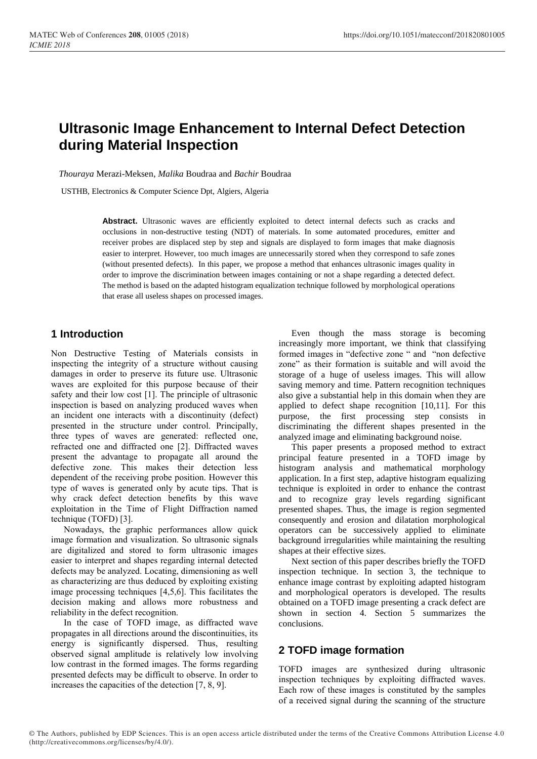# **Ultrasonic Image Enhancement to Internal Defect Detection during Material Inspection**

*Thouraya* Merazi-Meksen, *Malika* Boudraa and *Bachir* Boudraa

USTHB, Electronics & Computer Science Dpt, Algiers, Algeria

Abstract. Ultrasonic waves are efficiently exploited to detect internal defects such as cracks and occlusions in non-destructive testing (NDT) of materials. In some automated procedures, emitter and receiver probes are displaced step by step and signals are displayed to form images that make diagnosis easier to interpret. However, too much images are unnecessarily stored when they correspond to safe zones (without presented defects). In this paper, we propose a method that enhances ultrasonic images quality in order to improve the discrimination between images containing or not a shape regarding a detected defect. The method is based on the adapted histogram equalization technique followed by morphological operations that erase all useless shapes on processed images.

## **1 Introduction**

Non Destructive Testing of Materials consists in inspecting the integrity of a structure without causing damages in order to preserve its future use. Ultrasonic waves are exploited for this purpose because of their safety and their low cost [1]. The principle of ultrasonic inspection is based on analyzing produced waves when an incident one interacts with a discontinuity (defect) presented in the structure under control. Principally, three types of waves are generated: reflected one, refracted one and diffracted one [2]. Diffracted waves present the advantage to propagate all around the defective zone. This makes their detection less dependent of the receiving probe position. However this type of waves is generated only by acute tips. That is why crack defect detection benefits by this wave exploitation in the Time of Flight Diffraction named technique (TOFD) [3].

Nowadays, the graphic performances allow quick image formation and visualization. So ultrasonic signals are digitalized and stored to form ultrasonic images easier to interpret and shapes regarding internal detected defects may be analyzed. Locating, dimensioning as well as characterizing are thus deduced by exploiting existing image processing techniques [4,5,6]. This facilitates the decision making and allows more robustness and reliability in the defect recognition.

In the case of TOFD image, as diffracted wave propagates in all directions around the discontinuities, its energy is significantly dispersed. Thus, resulting observed signal amplitude is relatively low involving low contrast in the formed images. The forms regarding presented defects may be difficult to observe. In order to increases the capacities of the detection [7, 8, 9].

Even though the mass storage is becoming increasingly more important, we think that classifying formed images in "defective zone " and "non defective zone" as their formation is suitable and will avoid the storage of a huge of useless images. This will allow saving memory and time. Pattern recognition techniques also give a substantial help in this domain when they are applied to defect shape recognition [10,11]. For this purpose, the first processing step consists in discriminating the different shapes presented in the analyzed image and eliminating background noise.

This paper presents a proposed method to extract principal feature presented in a TOFD image by histogram analysis and mathematical morphology application. In a first step, adaptive histogram equalizing technique is exploited in order to enhance the contrast and to recognize gray levels regarding significant presented shapes. Thus, the image is region segmented consequently and erosion and dilatation morphological operators can be successively applied to eliminate background irregularities while maintaining the resulting shapes at their effective sizes.

Next section of this paper describes briefly the TOFD inspection technique. In section 3, the technique to enhance image contrast by exploiting adapted histogram and morphological operators is developed. The results obtained on a TOFD image presenting a crack defect are shown in section 4. Section 5 summarizes the conclusions.

# **2 TOFD image formation**

TOFD images are synthesized during ultrasonic inspection techniques by exploiting diffracted waves. Each row of these images is constituted by the samples of a received signal during the scanning of the structure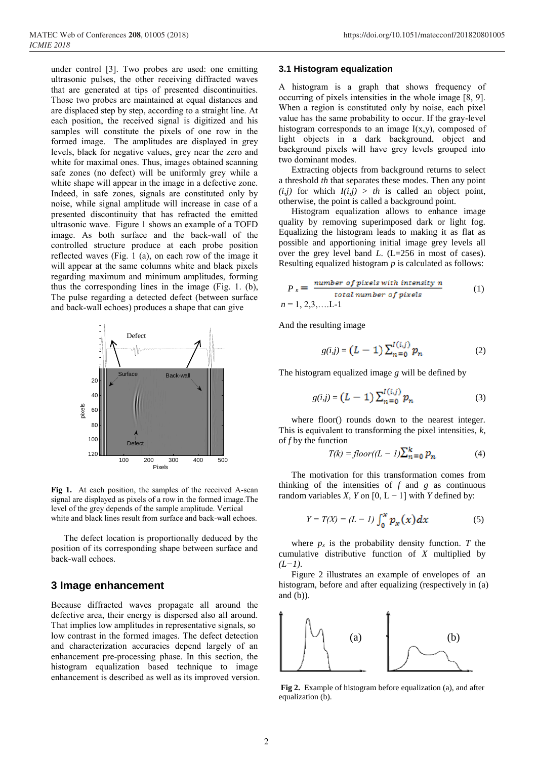under control [3]. Two probes are used: one emitting ultrasonic pulses, the other receiving diffracted waves that are generated at tips of presented discontinuities. Those two probes are maintained at equal distances and are displaced step by step, according to a straight line. At each position, the received signal is digitized and his samples will constitute the pixels of one row in the formed image. The amplitudes are displayed in grey levels, black for negative values, grey near the zero and white for maximal ones. Thus, images obtained scanning safe zones (no defect) will be uniformly grey while a white shape will appear in the image in a defective zone. Indeed, in safe zones, signals are constituted only by noise, while signal amplitude will increase in case of a presented discontinuity that has refracted the emitted ultrasonic wave. Figure 1 shows an example of a TOFD image. As both surface and the back-wall of the controlled structure produce at each probe position reflected waves (Fig. 1 (a), on each row of the image it will appear at the same columns white and black pixels regarding maximum and minimum amplitudes, forming thus the corresponding lines in the image (Fig. 1. (b), The pulse regarding a detected defect (between surface and back-wall echoes) produces a shape that can give



**Fig 1.** At each position, the samples of the received A-scan signal are displayed as pixels of a row in the formed image.The level of the grey depends of the sample amplitude. Vertical white and black lines result from surface and back-wall echoes.

The defect location is proportionally deduced by the position of its corresponding shape between surface and back-wall echoes.

### **3 Image enhancement**

Because diffracted waves propagate all around the defective area, their energy is dispersed also all around. That implies low amplitudes in representative signals, so low contrast in the formed images. The defect detection and characterization accuracies depend largely of an enhancement pre-processing phase. In this section, the histogram equalization based technique to image enhancement is described as well as its improved version.

#### **3.1 Histogram equalization**

A histogram is a graph that shows frequency of occurring of pixels intensities in the whole image [8, 9]. When a region is constituted only by noise, each pixel value has the same probability to occur. If the gray-level histogram corresponds to an image  $I(x,y)$ , composed of light objects in a dark background, object and background pixels will have grey levels grouped into two dominant modes.

Extracting objects from background returns to select a threshold *th* that separates these modes. Then any point  $(i,j)$  for which  $I(i,j) > th$  is called an object point, otherwise, the point is called a background point.

Histogram equalization allows to enhance image quality by removing superimposed dark or light fog. Equalizing the histogram leads to making it as flat as possible and apportioning initial image grey levels all over the grey level band *L*. (L=256 in most of cases). Resulting equalized histogram *p* is calculated as follows:

$$
P_n = \frac{number\ of\ pixels\ with\ intensity\ n}{total\ number\ of\ pixels} \tag{1}
$$
  

$$
n = 1, 2, 3, .... L \cdot 1
$$

And the resulting image

$$
g(i,j) = (L-1) \sum_{n=0}^{I(i,j)} p_n
$$
 (2)

The histogram equalized image *g* will be defined by

$$
g(i,j) = (L-1) \sum_{n=0}^{I(i,j)} p_n
$$
 (3)

where floor() rounds down to the nearest integer. This is equivalent to transforming the pixel intensities, *k*, of *f* by the function

$$
T(k) = floor((L - 1)\sum_{n=0}^{k} p_n \tag{4}
$$

The motivation for this transformation comes from thinking of the intensities of *f* and *g* as continuous random variables *X*, *Y* on  $[0, L - 1]$  with *Y* defined by:

$$
Y = T(X) = (L - 1) \int_0^x p_x(x) dx \tag{5}
$$

where  $p_x$  is the probability density function. *T* the cumulative distributive function of *X* multiplied by *(L−1).*

Figure 2 illustrates an example of envelopes of an histogram, before and after equalizing (respectively in (a) and (b)).



**Fig 2.** Example of histogram before equalization (a), and after equalization (b).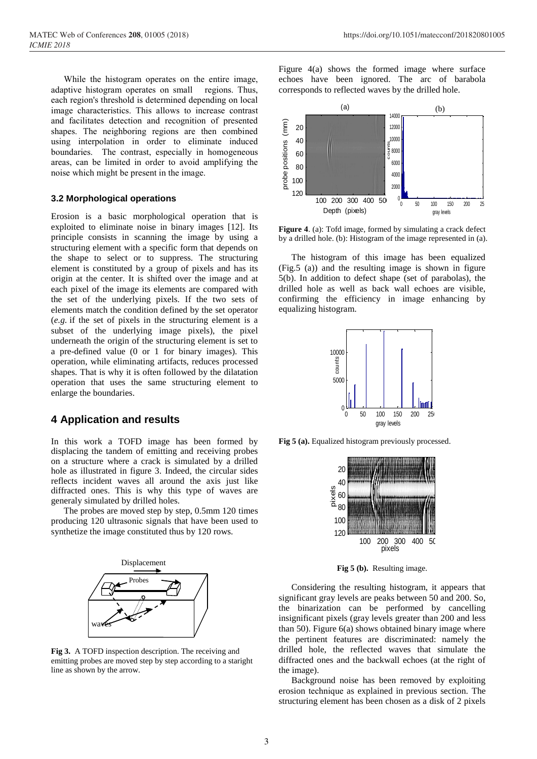While the histogram operates on the entire image, adaptive histogram operates on small regions. Thus, each region's threshold is determined depending on local image characteristics. This allows to increase contrast and facilitates detection and recognition of presented shapes. The neighboring regions are then combined using interpolation in order to eliminate induced boundaries. The contrast, especially in homogeneous areas, can be limited in order to avoid amplifying the noise which might be present in the image.

#### **3.2 Morphological operations**

Erosion is a basic morphological operation that is exploited to eliminate noise in binary images [12]. Its principle consists in scanning the image by using a structuring element with a specific form that depends on the shape to select or to suppress. The structuring element is constituted by a group of pixels and has its origin at the center. It is shifted over the image and at each pixel of the image its elements are compared with the set of the underlying pixels. If the two sets of elements match the condition defined by the set operator (*e.g.* if the set of pixels in the structuring element is a subset of the underlying image pixels), the pixel underneath the origin of the structuring element is set to a pre-defined value (0 or 1 for binary images). This operation, while eliminating artifacts, reduces processed shapes. That is why it is often followed by the dilatation operation that uses the same structuring element to enlarge the boundaries.

### **4 Application and results**

In this work a TOFD image has been formed by displacing the tandem of emitting and receiving probes on a structure where a crack is simulated by a drilled hole as illustrated in figure 3. Indeed, the circular sides reflects incident waves all around the axis just like diffracted ones. This is why this type of waves are generaly simulated by drilled holes.

The probes are moved step by step, 0.5mm 120 times producing 120 ultrasonic signals that have been used to synthetize the image constituted thus by 120 rows.



**Fig 3.** A TOFD inspection description. The receiving and emitting probes are moved step by step according to a staright line as shown by the arrow.

Figure 4(a) shows the formed image where surface echoes have been ignored. The arc of barabola corresponds to reflected waves by the drilled hole.



**Figure 4**. (a): Tofd image, formed by simulating a crack defect by a drilled hole. (b): Histogram of the image represented in (a).

The histogram of this image has been equalized (Fig.5 (a)) and the resulting image is shown in figure 5(b). In addition to defect shape (set of parabolas), the drilled hole as well as back wall echoes are visible, confirming the efficiency in image enhancing by equalizing histogram.



**Fig 5 (a).** Equalized histogram previously processed.



**Fig 5 (b).** Resulting image.

Considering the resulting histogram, it appears that significant gray levels are peaks between 50 and 200. So, the binarization can be performed by cancelling insignificant pixels (gray levels greater than 200 and less than 50). Figure  $6(a)$  shows obtained binary image where the pertinent features are discriminated: namely the drilled hole, the reflected waves that simulate the diffracted ones and the backwall echoes (at the right of the image).

Background noise has been removed by exploiting erosion technique as explained in previous section. The structuring element has been chosen as a disk of 2 pixels